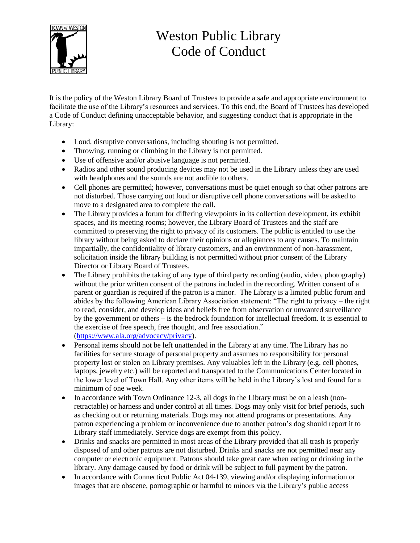

## Weston Public Library Code of Conduct

It is the policy of the Weston Library Board of Trustees to provide a safe and appropriate environment to facilitate the use of the Library's resources and services. To this end, the Board of Trustees has developed a Code of Conduct defining unacceptable behavior, and suggesting conduct that is appropriate in the Library:

- Loud, disruptive conversations, including shouting is not permitted.
- Throwing, running or climbing in the Library is not permitted.
- Use of offensive and/or abusive language is not permitted.
- Radios and other sound producing devices may not be used in the Library unless they are used with headphones and the sounds are not audible to others.
- Cell phones are permitted; however, conversations must be quiet enough so that other patrons are not disturbed. Those carrying out loud or disruptive cell phone conversations will be asked to move to a designated area to complete the call.
- The Library provides a forum for differing viewpoints in its collection development, its exhibit spaces, and its meeting rooms; however, the Library Board of Trustees and the staff are committed to preserving the right to privacy of its customers. The public is entitled to use the library without being asked to declare their opinions or allegiances to any causes. To maintain impartially, the confidentiality of library customers, and an environment of non-harassment, solicitation inside the library building is not permitted without prior consent of the Library Director or Library Board of Trustees.
- The Library prohibits the taking of any type of third party recording (audio, video, photography) without the prior written consent of the patrons included in the recording. Written consent of a parent or guardian is required if the patron is a minor. The Library is a limited public forum and abides by the following American Library Association statement: "The right to privacy – the right to read, consider, and develop ideas and beliefs free from observation or unwanted surveillance by the government or others – is the bedrock foundation for intellectual freedom. It is essential to the exercise of free speech, free thought, and free association." [\(https://www.ala.org/advocacy/privacy\)](https://www.ala.org/advocacy/privacy).
- Personal items should not be left unattended in the Library at any time. The Library has no facilities for secure storage of personal property and assumes no responsibility for personal property lost or stolen on Library premises. Any valuables left in the Library (e.g. cell phones, laptops, jewelry etc.) will be reported and transported to the Communications Center located in the lower level of Town Hall. Any other items will be held in the Library's lost and found for a minimum of one week.
- In accordance with Town Ordinance 12-3, all dogs in the Library must be on a leash (nonretractable) or harness and under control at all times. Dogs may only visit for brief periods, such as checking out or returning materials. Dogs may not attend programs or presentations. Any patron experiencing a problem or inconvenience due to another patron's dog should report it to Library staff immediately. Service dogs are exempt from this policy.
- Drinks and snacks are permitted in most areas of the Library provided that all trash is properly disposed of and other patrons are not disturbed. Drinks and snacks are not permitted near any computer or electronic equipment. Patrons should take great care when eating or drinking in the library. Any damage caused by food or drink will be subject to full payment by the patron.
- In accordance with Connecticut Public Act 04-139, viewing and/or displaying information or images that are obscene, pornographic or harmful to minors via the Library's public access